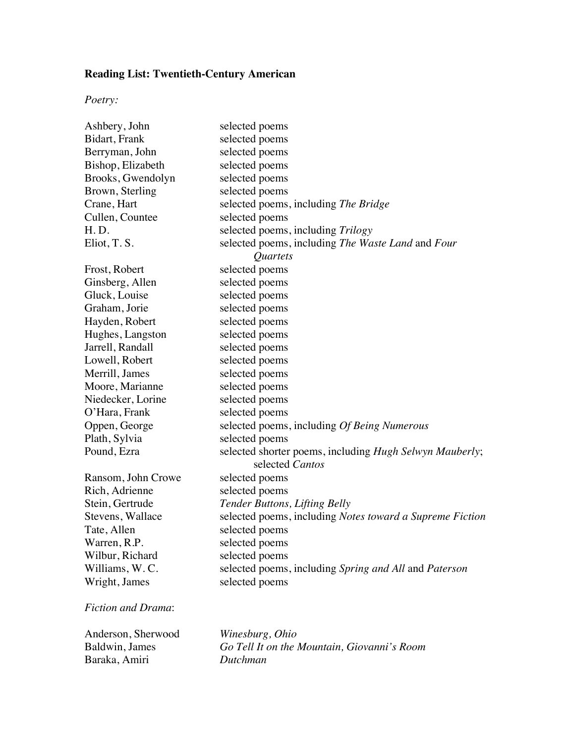## **Reading List: Twentieth-Century American**

## *Poetry:*

| Ashbery, John      | selected poems                                           |
|--------------------|----------------------------------------------------------|
| Bidart, Frank      | selected poems                                           |
| Berryman, John     | selected poems                                           |
| Bishop, Elizabeth  | selected poems                                           |
| Brooks, Gwendolyn  | selected poems                                           |
| Brown, Sterling    | selected poems                                           |
| Crane, Hart        | selected poems, including The Bridge                     |
| Cullen, Countee    | selected poems                                           |
| H.D.               | selected poems, including Trilogy                        |
| Eliot, T. S.       | selected poems, including The Waste Land and Four        |
|                    | Quartets                                                 |
| Frost, Robert      | selected poems                                           |
| Ginsberg, Allen    | selected poems                                           |
| Gluck, Louise      | selected poems                                           |
| Graham, Jorie      | selected poems                                           |
| Hayden, Robert     | selected poems                                           |
| Hughes, Langston   | selected poems                                           |
| Jarrell, Randall   | selected poems                                           |
| Lowell, Robert     | selected poems                                           |
| Merrill, James     | selected poems                                           |
| Moore, Marianne    | selected poems                                           |
| Niedecker, Lorine  | selected poems                                           |
| O'Hara, Frank      | selected poems                                           |
| Oppen, George      | selected poems, including Of Being Numerous              |
| Plath, Sylvia      | selected poems                                           |
| Pound, Ezra        | selected shorter poems, including Hugh Selwyn Mauberly;  |
|                    | selected Cantos                                          |
| Ransom, John Crowe | selected poems                                           |
| Rich, Adrienne     | selected poems                                           |
| Stein, Gertrude    | Tender Buttons, Lifting Belly                            |
| Stevens, Wallace   | selected poems, including Notes toward a Supreme Fiction |
| Tate, Allen        | selected poems                                           |
| Warren, R.P.       | selected poems                                           |
| Wilbur, Richard    | selected poems                                           |
| Williams, W.C.     | selected poems, including Spring and All and Paterson    |
| Wright, James      | selected poems                                           |
|                    |                                                          |

## *Fiction and Drama*:

| Anderson, Sherwood | Winesburg, Ohio                             |
|--------------------|---------------------------------------------|
| Baldwin, James     | Go Tell It on the Mountain, Giovanni's Room |
| Baraka, Amiri      | Dutchman                                    |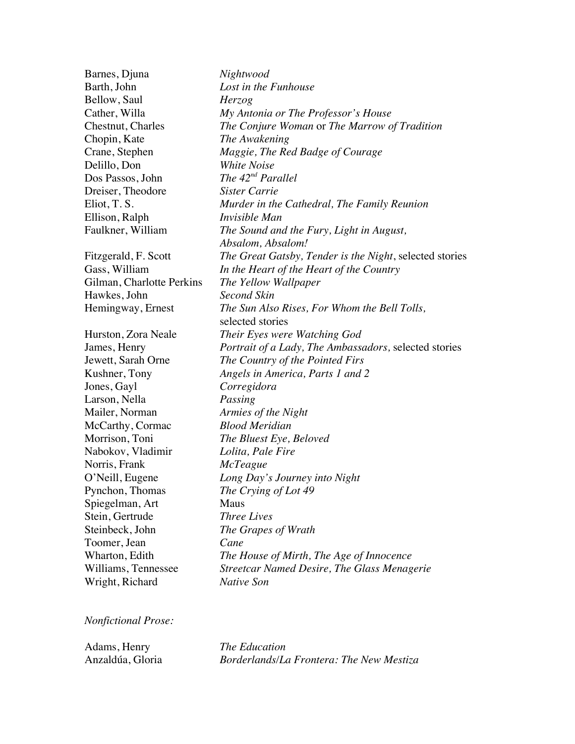| Barnes, Djuna             | Nightwood                                               |
|---------------------------|---------------------------------------------------------|
| Barth, John               | Lost in the Funhouse                                    |
| Bellow, Saul              | Herzog                                                  |
| Cather, Willa             | My Antonia or The Professor's House                     |
| Chestnut, Charles         | The Conjure Woman or The Marrow of Tradition            |
| Chopin, Kate              | The Awakening                                           |
| Crane, Stephen            | Maggie, The Red Badge of Courage                        |
| Delillo, Don              | <b>White Noise</b>                                      |
| Dos Passos, John          | The $42nd$ Parallel                                     |
| Dreiser, Theodore         | Sister Carrie                                           |
| Eliot, T. S.              | Murder in the Cathedral, The Family Reunion             |
| Ellison, Ralph            | <i>Invisible Man</i>                                    |
| Faulkner, William         | The Sound and the Fury, Light in August,                |
|                           | Absalom, Absalom!                                       |
| Fitzgerald, F. Scott      | The Great Gatsby, Tender is the Night, selected stories |
| Gass, William             | In the Heart of the Heart of the Country                |
| Gilman, Charlotte Perkins | The Yellow Wallpaper                                    |
| Hawkes, John              | <b>Second Skin</b>                                      |
| Hemingway, Ernest         | The Sun Also Rises, For Whom the Bell Tolls,            |
|                           | selected stories                                        |
| Hurston, Zora Neale       | Their Eyes were Watching God                            |
| James, Henry              | Portrait of a Lady, The Ambassadors, selected stories   |
| Jewett, Sarah Orne        | The Country of the Pointed Firs                         |
| Kushner, Tony             | Angels in America, Parts 1 and 2                        |
| Jones, Gayl               | Corregidora                                             |
| Larson, Nella             | Passing                                                 |
| Mailer, Norman            | Armies of the Night                                     |
| McCarthy, Cormac          | <b>Blood Meridian</b>                                   |
| Morrison, Toni            | The Bluest Eye, Beloved                                 |
| Nabokov, Vladimir         | Lolita, Pale Fire                                       |
| Norris, Frank             | <i>McTeague</i>                                         |
| O'Neill, Eugene           | Long Day's Journey into Night                           |
| Pynchon, Thomas           | The Crying of Lot 49                                    |
| Spiegelman, Art           | <b>Maus</b>                                             |
| Stein, Gertrude           | <b>Three Lives</b>                                      |
| Steinbeck, John           | The Grapes of Wrath                                     |
| Toomer, Jean              | Cane                                                    |
| Wharton, Edith            | The House of Mirth, The Age of Innocence                |
| Williams, Tennessee       | Streetcar Named Desire, The Glass Menagerie             |
| Wright, Richard           | <b>Native Son</b>                                       |

*Nonfictional Prose:*

| Adams, Henry     | <i>The Education</i>                     |
|------------------|------------------------------------------|
| Anzaldúa, Gloria | Borderlands/La Frontera: The New Mestiza |